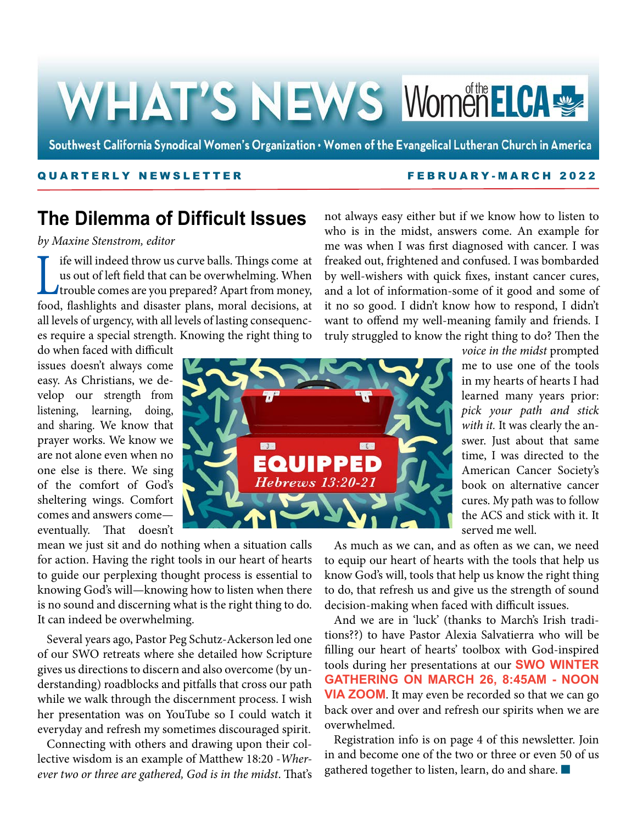# WHAT'S NEWS WomenELCA

Southwest California Synodical Women's Organization . Women of the Evangelical Lutheran Church in America

#### QUARTERLY NEWSLETTER FEBRUARY -MARCH 2022

## **The Dilemma of Difficult Issues**

*by Maxine Stenstrom, editor*

If if will indeed throw us curve balls. Things come at<br>us out of left field that can be overwhelming. When<br>trouble comes are you prepared? Apart from money,<br>food, flashlights, and, disaster plans, moral decisions, at us out of left field that can be overwhelming. When trouble comes are you prepared? Apart from money, food, flashlights and disaster plans, moral decisions, at all levels of urgency, with all levels of lasting consequences require a special strength. Knowing the right thing to

do when faced with difficult issues doesn't always come easy. As Christians, we develop our strength from listening, learning, doing, and sharing. We know that prayer works. We know we are not alone even when no one else is there. We sing of the comfort of God's sheltering wings. Comfort comes and answers come eventually. That doesn't



mean we just sit and do nothing when a situation calls for action. Having the right tools in our heart of hearts to guide our perplexing thought process is essential to knowing God's will—knowing how to listen when there is no sound and discerning what is the right thing to do. It can indeed be overwhelming.

Several years ago, Pastor Peg Schutz-Ackerson led one of our SWO retreats where she detailed how Scripture gives us directions to discern and also overcome (by understanding) roadblocks and pitfalls that cross our path while we walk through the discernment process. I wish her presentation was on YouTube so I could watch it everyday and refresh my sometimes discouraged spirit.

Connecting with others and drawing upon their collective wisdom is an example of Matthew 18:20 -*Wherever two or three are gathered, God is in the midst*. That's

not always easy either but if we know how to listen to who is in the midst, answers come. An example for me was when I was first diagnosed with cancer. I was freaked out, frightened and confused. I was bombarded by well-wishers with quick fixes, instant cancer cures, and a lot of information-some of it good and some of it no so good. I didn't know how to respond, I didn't want to offend my well-meaning family and friends. I truly struggled to know the right thing to do? Then the

*voice in the midst* prompted me to use one of the tools in my hearts of hearts I had learned many years prior: *pick your path and stick*  with it. It was clearly the answer. Just about that same time, I was directed to the American Cancer Society's book on alternative cancer cures. My path was to follow the ACS and stick with it. It served me well.

As much as we can, and as often as we can, we need to equip our heart of hearts with the tools that help us know God's will, tools that help us know the right thing to do, that refresh us and give us the strength of sound decision-making when faced with difficult issues.

And we are in 'luck' (thanks to March's Irish traditions??) to have Pastor Alexia Salvatierra who will be filling our heart of hearts' toolbox with God-inspired tools during her presentations at our **SWO WINTER GATHERING ON MARCH 26, 8:45AM - NOON VIA ZOOM**. It may even be recorded so that we can go back over and over and refresh our spirits when we are overwhelmed.

Registration info is on page 4 of this newsletter. Join in and become one of the two or three or even 50 of us gathered together to listen, learn, do and share.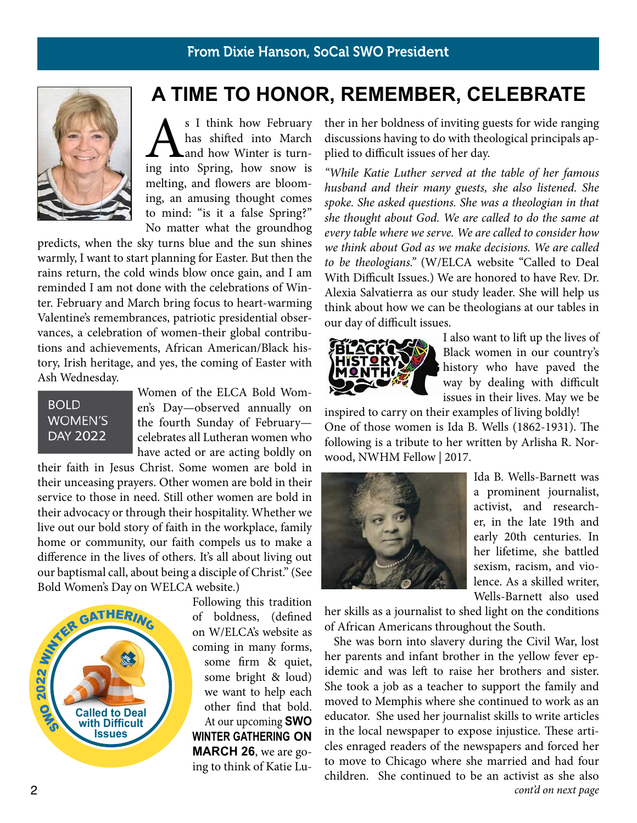#### From Dixie Hanson, SoCal SWO President



As I think how February<br>has shifted into March<br>and how Winter is turn-<br>ing into Spring, how snow is has shifted into March and how Winter is turnmelting, and flowers are blooming, an amusing thought comes to mind: "is it a false Spring?" No matter what the groundhog

predicts, when the sky turns blue and the sun shines warmly, I want to start planning for Easter. But then the rains return, the cold winds blow once gain, and I am reminded I am not done with the celebrations of Winter. February and March bring focus to heart-warming Valentine's remembrances, patriotic presidential observances, a celebration of women-their global contributions and achievements, African American/Black history, Irish heritage, and yes, the coming of Easter with Ash Wednesday.

#### **BOLD WOMEN'S DAY 2022**

Women of the ELCA Bold Women's Day—observed annually on the fourth Sunday of February celebrates all Lutheran women who have acted or are acting boldly on

their faith in Jesus Christ. Some women are bold in their unceasing prayers. Other women are bold in their service to those in need. Still other women are bold in their advocacy or through their hospitality. Whether we live out our bold story of faith in the workplace, family home or community, our faith compels us to make a difference in the lives of others. It's all about living out our baptismal call, about being a disciple of Christ." (See Bold Women's Day on WELCA website.)



Following this tradition of boldness, (defined on W/ELCA's website as coming in many forms, some firm & quiet, some bright & loud) we want to help each other find that bold. At our upcoming **SWO WINTER GATHERING ON MARCH 26**, we are going to think of Katie Lu-

**A TIME TO HONOR, REMEMBER, CELEBRATE**

ther in her boldness of inviting guests for wide ranging discussions having to do with theological principals applied to difficult issues of her day.

*"While Katie Luther served at the table of her famous husband and their many guests, she also listened. She spoke. She asked questions. She was a theologian in that she thought about God. We are called to do the same at every table where we serve. We are called to consider how we think about God as we make decisions. We are called to be theologians."* (W/ELCA website "Called to Deal With Difficult Issues.) We are honored to have Rev. Dr. Alexia Salvatierra as our study leader. She will help us think about how we can be theologians at our tables in our day of difficult issues.



I also want to lift up the lives of Black women in our country's history who have paved the way by dealing with difficult issues in their lives. May we be

inspired to carry on their examples of living boldly! One of those women is Ida B. Wells (1862-1931). The following is a tribute to her written by Arlisha R. Norwood, NWHM Fellow | 2017.



Ida B. Wells-Barnett was a prominent journalist, activist, and researcher, in the late 19th and early 20th centuries. In her lifetime, she battled sexism, racism, and violence. As a skilled writer, Wells-Barnett also used

her skills as a journalist to shed light on the conditions of African Americans throughout the South.

She was born into slavery during the Civil War, lost her parents and infant brother in the yellow fever epidemic and was left to raise her brothers and sister. She took a job as a teacher to support the family and moved to Memphis where she continued to work as an educator. She used her journalist skills to write articles in the local newspaper to expose injustice. These articles enraged readers of the newspapers and forced her to move to Chicago where she married and had four children. She continued to be an activist as she also *cont'd on next page*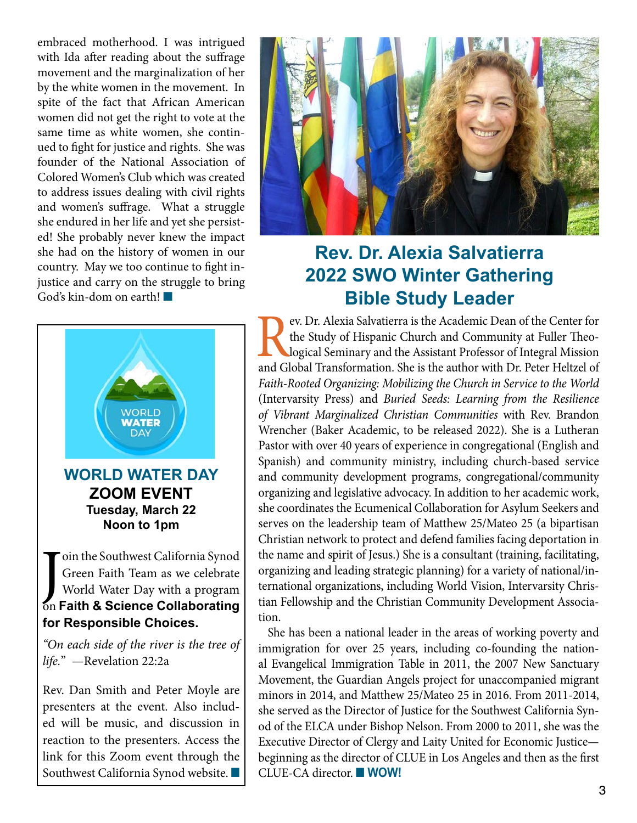embraced motherhood. I was intrigued with Ida after reading about the suffrage movement and the marginalization of her by the white women in the movement. In spite of the fact that African American women did not get the right to vote at the same time as white women, she continued to fight for justice and rights. She was founder of the National Association of Colored Women's Club which was created to address issues dealing with civil rights and women's suffrage. What a struggle she endured in her life and yet she persisted! She probably never knew the impact she had on the history of women in our country. May we too continue to fight injustice and carry on the struggle to bring God's kin-dom on earth! $\blacksquare$ 



**for Responsible Choices.**

*"On each side of the river is the tree of life.*" —Revelation 22:2a

Rev. Dan Smith and Peter Moyle are presenters at the event. Also included will be music, and discussion in reaction to the presenters. Access the link for this Zoom event through the Southwest California Synod website.



## **Rev. Dr. Alexia Salvatierra 2022 SWO Winter Gathering Bible Study Leader**

FREE ENDITED Alexia Salvatierra is the Academic Dean of the Center for<br>the Study of Hispanic Church and Community at Fuller Theo-<br>logical Seminary and the Assistant Professor of Integral Mission<br>and Global Transformation. the Study of Hispanic Church and Community at Fuller Theological Seminary and the Assistant Professor of Integral Mission and Global Transformation. She is the author with Dr. Peter Heltzel of *Faith-Rooted Organizing: Mobilizing the Church in Service to the World* (Intervarsity Press) and *Buried Seeds: Learning from the Resilience of Vibrant Marginalized Christian Communities* with Rev. Brandon Wrencher (Baker Academic, to be released 2022). She is a Lutheran Pastor with over 40 years of experience in congregational (English and Spanish) and community ministry, including church-based service and community development programs, congregational/community organizing and legislative advocacy. In addition to her academic work, she coordinates the Ecumenical Collaboration for Asylum Seekers and serves on the leadership team of Matthew 25/Mateo 25 (a bipartisan Christian network to protect and defend families facing deportation in the name and spirit of Jesus.) She is a consultant (training, facilitating, organizing and leading strategic planning) for a variety of national/international organizations, including World Vision, Intervarsity Christian Fellowship and the Christian Community Development Association.

She has been a national leader in the areas of working poverty and immigration for over 25 years, including co-founding the national Evangelical Immigration Table in 2011, the 2007 New Sanctuary Movement, the Guardian Angels project for unaccompanied migrant minors in 2014, and Matthew 25/Mateo 25 in 2016. From 2011-2014, she served as the Director of Justice for the Southwest California Synod of the ELCA under Bishop Nelson. From 2000 to 2011, she was the Executive Director of Clergy and Laity United for Economic Justice beginning as the director of CLUE in Los Angeles and then as the first CLUE-CA director. **WOW!**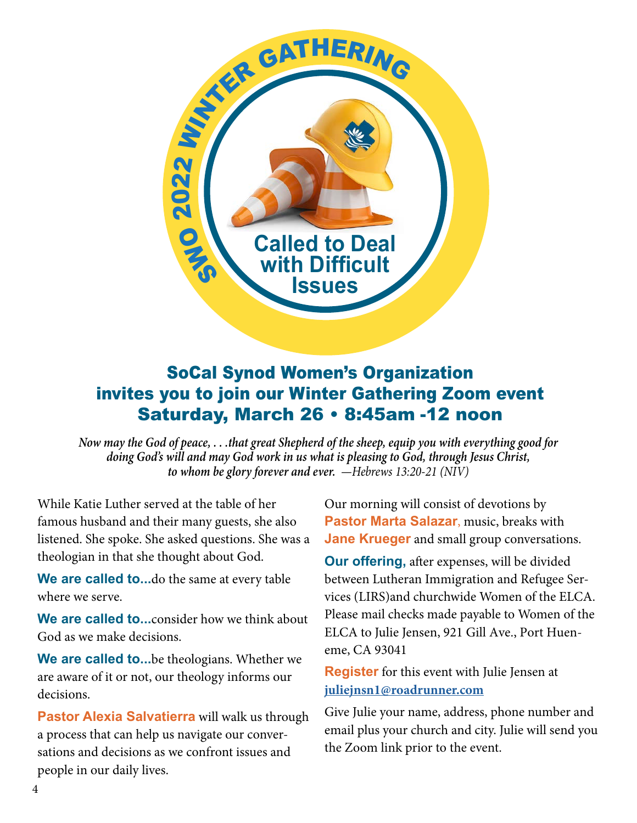

## SoCal Synod Women's Organization invites you to join our Winter Gathering Zoom event Saturday, March 26 • 8:45am -12 noon

*Now may the God of peace, . . .that great Shepherd of the sheep, equip you with everything good for doing God's will and may God work in us what is pleasing to God, through Jesus Christ, to whom be glory forever and ever. —Hebrews 13:20-21 (NIV)*

While Katie Luther served at the table of her famous husband and their many guests, she also listened. She spoke. She asked questions. She was a theologian in that she thought about God.

**We are called to...**do the same at every table where we serve.

**We are called to...**consider how we think about God as we make decisions.

**We are called to...**be theologians. Whether we are aware of it or not, our theology informs our decisions.

**Pastor Alexia Salvatierra** will walk us through a process that can help us navigate our conversations and decisions as we confront issues and people in our daily lives.

Our morning will consist of devotions by **Pastor Marta Salazar**, music, breaks with **Jane Krueger** and small group conversations.

**Our offering,** after expenses, will be divided between Lutheran Immigration and Refugee Services (LIRS)and churchwide Women of the ELCA. Please mail checks made payable to Women of the ELCA to Julie Jensen, 921 Gill Ave., Port Hueneme, CA 93041

**Register** for this event with Julie Jensen at **juliejnsn1@roadrunner.com**

Give Julie your name, address, phone number and email plus your church and city. Julie will send you the Zoom link prior to the event.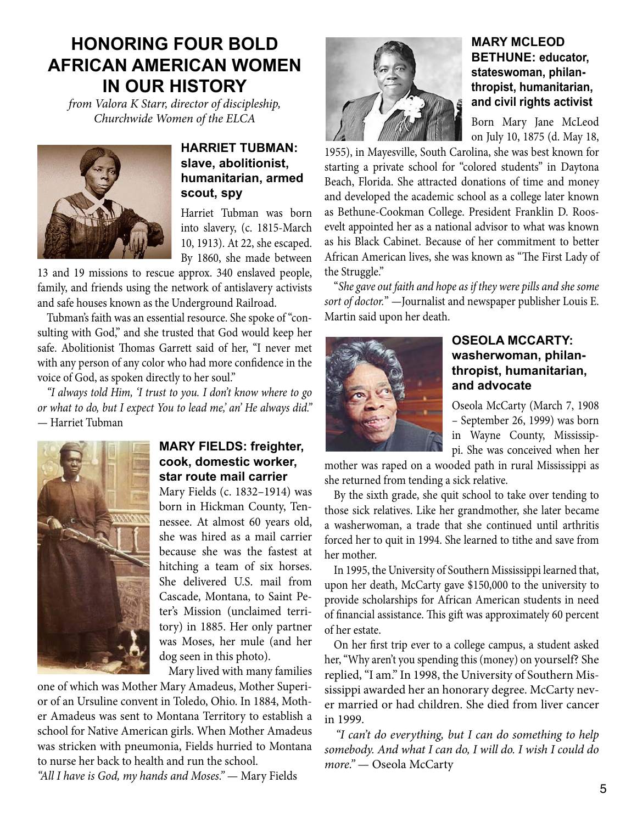## **HONORING FOUR BOLD AFRICAN AMERICAN WOMEN IN OUR HISTORY**

*from Valora K Starr, director of discipleship, Churchwide Women of the ELCA*



#### **HARRIET TUBMAN: slave, abolitionist, humanitarian, armed scout, spy**

Harriet Tubman was born into slavery, (c. 1815-March 10, 1913). At 22, she escaped. By 1860, she made between

13 and 19 missions to rescue approx. 340 enslaved people, family, and friends using the network of antislavery activists and safe houses known as the Underground Railroad.

Tubman's faith was an essential resource. She spoke of "consulting with God," and she trusted that God would keep her safe. Abolitionist Thomas Garrett said of her, "I never met with any person of any color who had more confidence in the voice of God, as spoken directly to her soul."

*"I always told Him, 'I trust to you. I don't know where to go or what to do, but I expect You to lead me,' an' He always did."* — Harriet Tubman



#### **MARY FIELDS: freighter, cook, domestic worker, star route mail carrier**

Mary Fields (c. 1832–1914) was born in Hickman County, Tennessee. At almost 60 years old, she was hired as a mail carrier because she was the fastest at hitching a team of six horses. She delivered U.S. mail from Cascade, Montana, to Saint Peter's Mission (unclaimed territory) in 1885. Her only partner was Moses, her mule (and her dog seen in this photo).

Mary lived with many families

one of which was Mother Mary Amadeus, Mother Superior of an Ursuline convent in Toledo, Ohio. In 1884, Mother Amadeus was sent to Montana Territory to establish a school for Native American girls. When Mother Amadeus was stricken with pneumonia, Fields hurried to Montana to nurse her back to health and run the school.

*"All I have is God, my hands and Moses."* — Mary Fields



#### **MARY MCLEOD BETHUNE: educator, stateswoman, philanthropist, humanitarian, and civil rights activist**

Born Mary Jane McLeod on July 10, 1875 (d. May 18,

1955), in Mayesville, South Carolina, she was best known for starting a private school for "colored students" in Daytona Beach, Florida. She attracted donations of time and money and developed the academic school as a college later known as Bethune-Cookman College. President Franklin D. Roosevelt appointed her as a national advisor to what was known as his Black Cabinet. Because of her commitment to better African American lives, she was known as "The First Lady of the Struggle."

"*She gave out faith and hope as if they were pills and she some sort of doctor.*" —Journalist and newspaper publisher Louis E. Martin said upon her death.



#### **OSEOLA MCCARTY: washerwoman, philanthropist, humanitarian, and advocate**

Oseola McCarty (March 7, 1908 – September 26, 1999) was born in Wayne County, Mississippi. She was conceived when her

mother was raped on a wooded path in rural Mississippi as she returned from tending a sick relative.

By the sixth grade, she quit school to take over tending to those sick relatives. Like her grandmother, she later became a washerwoman, a trade that she continued until arthritis forced her to quit in 1994. She learned to tithe and save from her mother.

In 1995, the University of Southern Mississippi learned that, upon her death, McCarty gave \$150,000 to the university to provide scholarships for African American students in need of financial assistance. This gift was approximately 60 percent of her estate.

On her first trip ever to a college campus, a student asked her, "Why aren't you spending this (money) on yourself? She replied, "I am." In 1998, the University of Southern Mississippi awarded her an honorary degree. McCarty never married or had children. She died from liver cancer in 1999.

 *"I can't do everything, but I can do something to help somebody. And what I can do, I will do. I wish I could do more."* — Oseola McCarty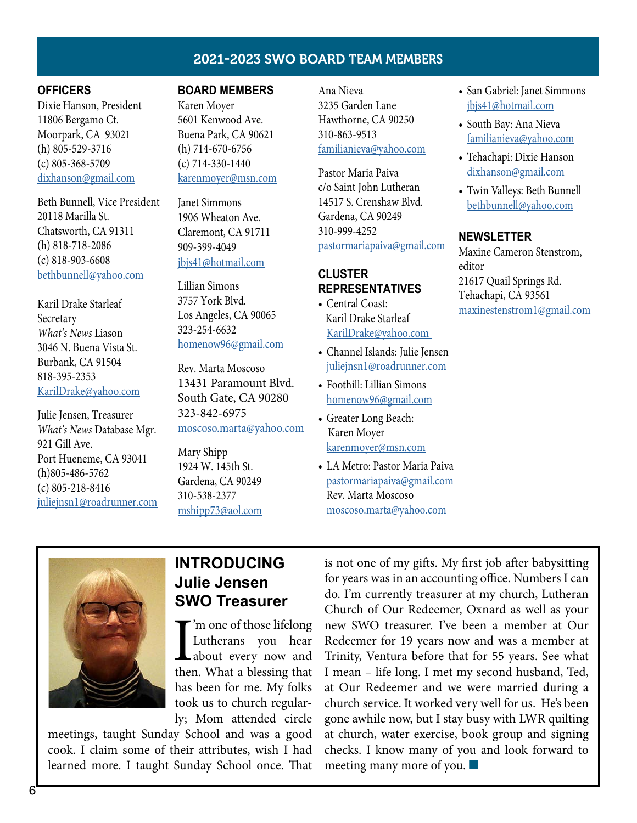#### 2021-2023 SWO BOARD TEAM MEMBERS

#### **OFFICERS**

Dixie Hanson, President 11806 Bergamo Ct. Moorpark, CA 93021 (h) 805-529-3716 (c) 805-368-5709 [dixhanson@gmail.com](mailto:dixhanson%40gmail.com?subject=)

Beth Bunnell, Vice President 20118 Marilla St. Chatsworth, CA 91311 (h) 818-718-2086 (c) 818-903-6608 bethbunnell@yahoo.com

Karil Drake Starleaf Secretary *What's News* Liason 3046 N. Buena Vista St. Burbank, CA 91504 818-395-2353 KarilDrake@yahoo.com

Julie Jensen, Treasurer *What's News* Database Mgr. 921 Gill Ave. Port Hueneme, CA 93041 (h)805-486-5762 (c) 805-218-8416 juliejnsn1@roadrunner.com

#### **BOARD MEMBERS**

Karen Moyer 5601 Kenwood Ave. Buena Park, CA 90621 (h) 714-670-6756 (c) 714-330-1440 karenmoyer@msn.com

Janet Simmons 1906 Wheaton Ave. Claremont, CA 91711 909-399-4049 [jbjs41@hotmail.com](mailto:jbjs41%40hotmail.com%20%20%20%20%20?subject=)

Lillian Simons 3757 York Blvd. Los Angeles, CA 90065 323-254-6632 homenow96@gmail.com

Rev. Marta Moscoso 13431 Paramount Blvd. South Gate, CA 90280 323-842-6975 moscoso.marta@yahoo.com

Mary Shipp 1924 W. 145th St. Gardena, CA 90249 310-538-2377 mshipp73@aol.com Ana Nieva 3235 Garden Lane Hawthorne, CA 90250 310-863-9513 familianieva@yahoo.com

Pastor Maria Paiva c/o Saint John Lutheran 14517 S. Crenshaw Blvd. Gardena, CA 90249 310-999-4252 pastormariapaiva@gmail.com

#### **CLUSTER REPRESENTATIVES**

- Central Coast: Karil Drake Starleaf KarilDrake@yahoo.com
- Channel Islands: Julie Jensen juliejnsn1@roadrunner.com
- Foothill: Lillian Simons homenow96@gmail.com
- Greater Long Beach: Karen Moyer karenmoyer@msn.com
- LA Metro: Pastor Maria Paiva pastormariapaiva@gmail.com Rev. Marta Moscoso moscoso.marta@yahoo.com
- San Gabriel: Janet Simmons jbjs41@hotmail.com
- South Bay: Ana Nieva familianieva@yahoo.com
- Tehachapi: Dixie Hanson dixhanson@gmail.com
- Twin Valleys: Beth Bunnell bethbunnell@yahoo.com

#### **NEWSLETTER**

Maxine Cameron Stenstrom, editor 21617 Quail Springs Rd. Tehachapi, CA 93561 maxinestenstrom1@gmail.com



### **INTRODUCING Julie Jensen SWO Treasurer**

I'm one of those lifelong<br>Lutherans you hear<br>about every now and<br>then. What a blessing that 'm one of those lifelong Lutherans you hear about every now and has been for me. My folks took us to church regularly; Mom attended circle

meetings, taught Sunday School and was a good cook. I claim some of their attributes, wish I had learned more. I taught Sunday School once. That

is not one of my gifts. My first job after babysitting for years was in an accounting office. Numbers I can do. I'm currently treasurer at my church, Lutheran Church of Our Redeemer, Oxnard as well as your new SWO treasurer. I've been a member at Our Redeemer for 19 years now and was a member at Trinity, Ventura before that for 55 years. See what I mean – life long. I met my second husband, Ted, at Our Redeemer and we were married during a church service. It worked very well for us. He's been gone awhile now, but I stay busy with LWR quilting at church, water exercise, book group and signing checks. I know many of you and look forward to meeting many more of you.  $\blacksquare$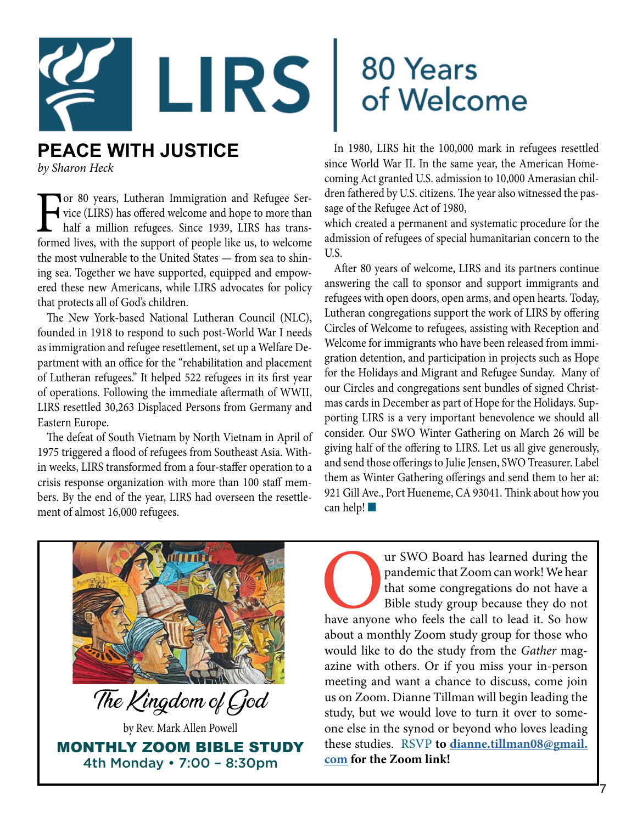

## **PEACE WITH JUSTICE**

*by Sharon Heck*

For 80 years, Lutheran Immigration and Refugee Service (LIRS) has offered welcome and hope to more than half a million refugees. Since 1939, LIRS has transformed lives, with the support of people like us, to welcome vice (LIRS) has offered welcome and hope to more than half a million refugees. Since 1939, LIRS has transformed lives, with the support of people like us, to welcome the most vulnerable to the United States — from sea to shining sea. Together we have supported, equipped and empowered these new Americans, while LIRS advocates for policy that protects all of God's children.

The New York-based National Lutheran Council (NLC), founded in 1918 to respond to such post-World War I needs as immigration and refugee resettlement, set up a Welfare Department with an office for the "rehabilitation and placement of Lutheran refugees." It helped 522 refugees in its first year of operations. Following the immediate aftermath of WWII, LIRS resettled 30,263 Displaced Persons from Germany and Eastern Europe.

The defeat of South Vietnam by North Vietnam in April of 1975 triggered a flood of refugees from Southeast Asia. Within weeks, LIRS transformed from a four-staffer operation to a crisis response organization with more than 100 staff members. By the end of the year, LIRS had overseen the resettlement of almost 16,000 refugees.

## 80 Years of Welcome

In 1980, LIRS hit the 100,000 mark in refugees resettled since World War II. In the same year, the American Homecoming Act granted U.S. admission to 10,000 Amerasian children fathered by U.S. citizens. The year also witnessed the passage of the Refugee Act of 1980,

which created a permanent and systematic procedure for the admission of refugees of special humanitarian concern to the U.S.

After 80 years of welcome, LIRS and its partners continue answering the call to sponsor and support immigrants and refugees with open doors, open arms, and open hearts. Today, Lutheran congregations support the work of LIRS by offering Circles of Welcome to refugees, assisting with Reception and Welcome for immigrants who have been released from immigration detention, and participation in projects such as Hope for the Holidays and Migrant and Refugee Sunday. Many of our Circles and congregations sent bundles of signed Christmas cards in December as part of Hope for the Holidays. Supporting LIRS is a very important benevolence we should all consider. Our SWO Winter Gathering on March 26 will be giving half of the offering to LIRS. Let us all give generously, and send those offerings to Julie Jensen, SWO Treasurer. Label them as Winter Gathering offerings and send them to her at: 921 Gill Ave., Port Hueneme, CA 93041. Think about how you can help! $\blacksquare$ 



The pandemic that Zoom can work! We hear that some congregations do not have a Bible study group because they do not have anyone who feels the call to lead it. So how pandemic that Zoom can work! We hear that some congregations do not have a Bible study group because they do not about a monthly Zoom study group for those who would like to do the study from the *Gather* magazine with others. Or if you miss your in-person meeting and want a chance to discuss, come join us on Zoom. Dianne Tillman will begin leading the study, but we would love to turn it over to someone else in the synod or beyond who loves leading these studies. RSVP **to dianne.tillman08@gmail. com for the Zoom link!**